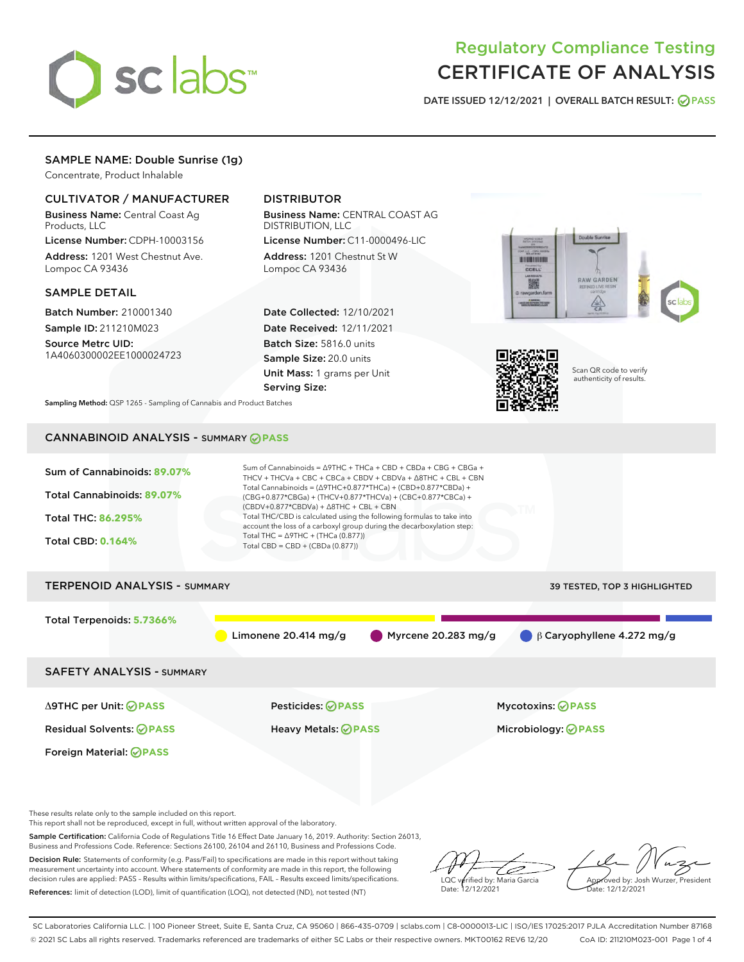

# Regulatory Compliance Testing CERTIFICATE OF ANALYSIS

DATE ISSUED 12/12/2021 | OVERALL BATCH RESULT: @ PASS

# SAMPLE NAME: Double Sunrise (1g)

Concentrate, Product Inhalable

# CULTIVATOR / MANUFACTURER

Business Name: Central Coast Ag Products, LLC

License Number: CDPH-10003156 Address: 1201 West Chestnut Ave. Lompoc CA 93436

#### SAMPLE DETAIL

Batch Number: 210001340 Sample ID: 211210M023

Source Metrc UID: 1A4060300002EE1000024723

# DISTRIBUTOR

Business Name: CENTRAL COAST AG DISTRIBUTION, LLC

License Number: C11-0000496-LIC Address: 1201 Chestnut St W Lompoc CA 93436

Date Collected: 12/10/2021 Date Received: 12/11/2021 Batch Size: 5816.0 units Sample Size: 20.0 units Unit Mass: 1 grams per Unit Serving Size:





Scan QR code to verify authenticity of results.

Sampling Method: QSP 1265 - Sampling of Cannabis and Product Batches

# CANNABINOID ANALYSIS - SUMMARY **PASS**



Sample Certification: California Code of Regulations Title 16 Effect Date January 16, 2019. Authority: Section 26013,

Business and Professions Code. Reference: Sections 26100, 26104 and 26110, Business and Professions Code.

Decision Rule: Statements of conformity (e.g. Pass/Fail) to specifications are made in this report without taking measurement uncertainty into account. Where statements of conformity are made in this report, the following decision rules are applied: PASS – Results within limits/specifications, FAIL – Results exceed limits/specifications. References: limit of detection (LOD), limit of quantification (LOQ), not detected (ND), not tested (NT)

ىر LQC verified by: Maria Garcia Date: 12/12/2021

Approved by: Josh Wurzer, President ate: 12/12/2021

SC Laboratories California LLC. | 100 Pioneer Street, Suite E, Santa Cruz, CA 95060 | 866-435-0709 | sclabs.com | C8-0000013-LIC | ISO/IES 17025:2017 PJLA Accreditation Number 87168 © 2021 SC Labs all rights reserved. Trademarks referenced are trademarks of either SC Labs or their respective owners. MKT00162 REV6 12/20 CoA ID: 211210M023-001 Page 1 of 4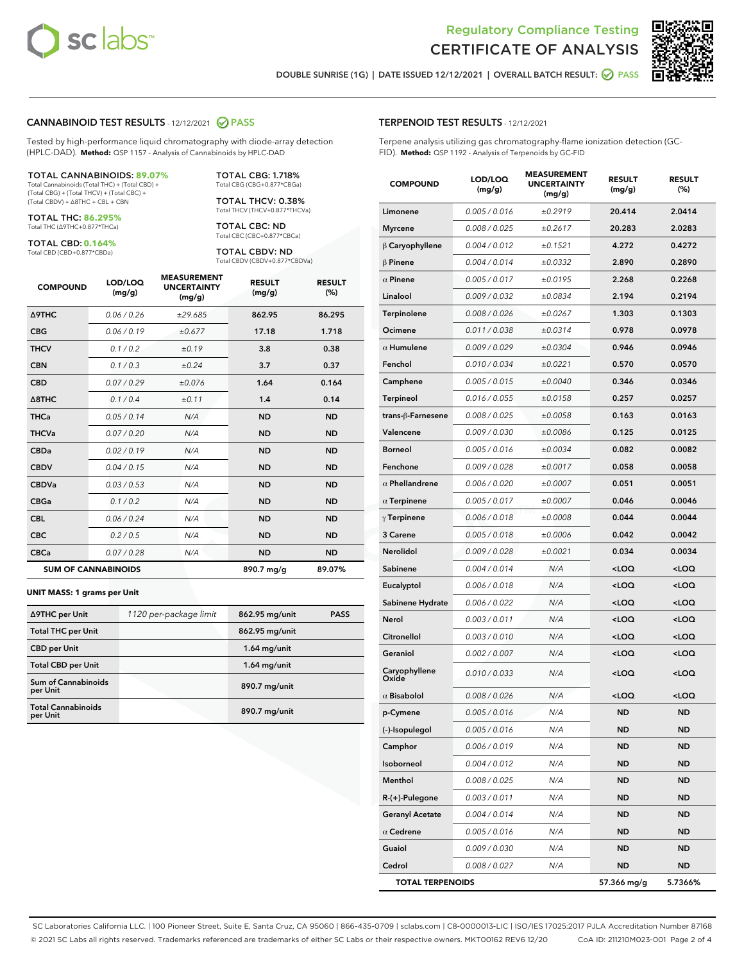



DOUBLE SUNRISE (1G) | DATE ISSUED 12/12/2021 | OVERALL BATCH RESULT: **● PASS** 

#### CANNABINOID TEST RESULTS - 12/12/2021 2 PASS

Tested by high-performance liquid chromatography with diode-array detection (HPLC-DAD). **Method:** QSP 1157 - Analysis of Cannabinoids by HPLC-DAD

#### TOTAL CANNABINOIDS: **89.07%**

Total Cannabinoids (Total THC) + (Total CBD) + (Total CBG) + (Total THCV) + (Total CBC) + (Total CBDV) + ∆8THC + CBL + CBN

TOTAL THC: **86.295%** Total THC (∆9THC+0.877\*THCa)

TOTAL CBD: **0.164%**

Total CBD (CBD+0.877\*CBDa)

TOTAL CBG: 1.718% Total CBG (CBG+0.877\*CBGa)

TOTAL THCV: 0.38% Total THCV (THCV+0.877\*THCVa)

TOTAL CBC: ND Total CBC (CBC+0.877\*CBCa)

TOTAL CBDV: ND Total CBDV (CBDV+0.877\*CBDVa)

| <b>COMPOUND</b>            | LOD/LOQ<br>(mg/g) | <b>MEASUREMENT</b><br><b>UNCERTAINTY</b><br>(mg/g) | <b>RESULT</b><br>(mg/g) | <b>RESULT</b><br>(%) |
|----------------------------|-------------------|----------------------------------------------------|-------------------------|----------------------|
| <b>A9THC</b>               | 0.06 / 0.26       | ±29.685                                            | 862.95                  | 86.295               |
| <b>CBG</b>                 | 0.06/0.19         | ±0.677                                             | 17.18                   | 1.718                |
| <b>THCV</b>                | 0.1 / 0.2         | ±0.19                                              | 3.8                     | 0.38                 |
| <b>CBN</b>                 | 0.1/0.3           | ±0.24                                              | 3.7                     | 0.37                 |
| <b>CBD</b>                 | 0.07/0.29         | ±0.076                                             | 1.64                    | 0.164                |
| $\triangle$ 8THC           | 0.1/0.4           | ±0.11                                              | 1.4                     | 0.14                 |
| <b>THCa</b>                | 0.05/0.14         | N/A                                                | <b>ND</b>               | <b>ND</b>            |
| <b>THCVa</b>               | 0.07/0.20         | N/A                                                | <b>ND</b>               | <b>ND</b>            |
| <b>CBDa</b>                | 0.02/0.19         | N/A                                                | <b>ND</b>               | <b>ND</b>            |
| <b>CBDV</b>                | 0.04 / 0.15       | N/A                                                | <b>ND</b>               | <b>ND</b>            |
| <b>CBDVa</b>               | 0.03/0.53         | N/A                                                | <b>ND</b>               | <b>ND</b>            |
| <b>CBGa</b>                | 0.1/0.2           | N/A                                                | <b>ND</b>               | <b>ND</b>            |
| <b>CBL</b>                 | 0.06 / 0.24       | N/A                                                | <b>ND</b>               | <b>ND</b>            |
| <b>CBC</b>                 | 0.2 / 0.5         | N/A                                                | <b>ND</b>               | <b>ND</b>            |
| <b>CBCa</b>                | 0.07/0.28         | N/A                                                | <b>ND</b>               | <b>ND</b>            |
| <b>SUM OF CANNABINOIDS</b> |                   |                                                    | 890.7 mg/g              | 89.07%               |

#### **UNIT MASS: 1 grams per Unit**

| ∆9THC per Unit                         | 1120 per-package limit | 862.95 mg/unit | <b>PASS</b> |
|----------------------------------------|------------------------|----------------|-------------|
| <b>Total THC per Unit</b>              |                        | 862.95 mg/unit |             |
| <b>CBD per Unit</b>                    |                        | $1.64$ mg/unit |             |
| <b>Total CBD per Unit</b>              |                        | $1.64$ mg/unit |             |
| <b>Sum of Cannabinoids</b><br>per Unit |                        | 890.7 mg/unit  |             |
| <b>Total Cannabinoids</b><br>per Unit  |                        | 890.7 mg/unit  |             |

| <b>COMPOUND</b>         | LOD/LOQ<br>(mg/g) | <b>MEASUREMENT</b><br><b>UNCERTAINTY</b><br>(mg/g) | <b>RESULT</b><br>(mg/g)                          | <b>RESULT</b><br>$(\%)$ |
|-------------------------|-------------------|----------------------------------------------------|--------------------------------------------------|-------------------------|
| Limonene                | 0.005 / 0.016     | ±0.2919                                            | 20.414                                           | 2.0414                  |
| <b>Myrcene</b>          | 0.008 / 0.025     | ±0.2617                                            | 20.283                                           | 2.0283                  |
| $\beta$ Caryophyllene   | 0.004 / 0.012     | ±0.1521                                            | 4.272                                            | 0.4272                  |
| $\beta$ Pinene          | 0.004 / 0.014     | ±0.0332                                            | 2.890                                            | 0.2890                  |
| $\alpha$ Pinene         | 0.005 / 0.017     | ±0.0195                                            | 2.268                                            | 0.2268                  |
| Linalool                | 0.009/0.032       | ±0.0834                                            | 2.194                                            | 0.2194                  |
| Terpinolene             | 0.008 / 0.026     | ±0.0267                                            | 1.303                                            | 0.1303                  |
| Ocimene                 | 0.011 / 0.038     | ±0.0314                                            | 0.978                                            | 0.0978                  |
| $\alpha$ Humulene       | 0.009/0.029       | ±0.0304                                            | 0.946                                            | 0.0946                  |
| Fenchol                 | 0.010 / 0.034     | ±0.0221                                            | 0.570                                            | 0.0570                  |
| Camphene                | 0.005 / 0.015     | ±0.0040                                            | 0.346                                            | 0.0346                  |
| Terpineol               | 0.016 / 0.055     | ±0.0158                                            | 0.257                                            | 0.0257                  |
| trans-ß-Farnesene       | 0.008 / 0.025     | ±0.0058                                            | 0.163                                            | 0.0163                  |
| Valencene               | 0.009 / 0.030     | ±0.0086                                            | 0.125                                            | 0.0125                  |
| <b>Borneol</b>          | 0.005 / 0.016     | ±0.0034                                            | 0.082                                            | 0.0082                  |
| Fenchone                | 0.009 / 0.028     | ±0.0017                                            | 0.058                                            | 0.0058                  |
| $\alpha$ Phellandrene   | 0.006 / 0.020     | ±0.0007                                            | 0.051                                            | 0.0051                  |
| $\alpha$ Terpinene      | 0.005 / 0.017     | ±0.0007                                            | 0.046                                            | 0.0046                  |
| $\gamma$ Terpinene      | 0.006 / 0.018     | ±0.0008                                            | 0.044                                            | 0.0044                  |
| 3 Carene                | 0.005 / 0.018     | ±0.0006                                            | 0.042                                            | 0.0042                  |
| Nerolidol               | 0.009 / 0.028     | ±0.0021                                            | 0.034                                            | 0.0034                  |
| Sabinene                | 0.004 / 0.014     | N/A                                                | <loq< th=""><th><math>&lt;</math>LOQ</th></loq<> | $<$ LOQ                 |
| Eucalyptol              | 0.006 / 0.018     | N/A                                                | <loq< th=""><th><loq< th=""></loq<></th></loq<>  | <loq< th=""></loq<>     |
| Sabinene Hydrate        | 0.006 / 0.022     | N/A                                                | <loq< th=""><th><loq< th=""></loq<></th></loq<>  | <loq< th=""></loq<>     |
| Nerol                   | 0.003 / 0.011     | N/A                                                | <loq< th=""><th><math>&lt;</math>LOQ</th></loq<> | $<$ LOQ                 |
| Citronellol             | 0.003 / 0.010     | N/A                                                | <loq< th=""><th><loq< th=""></loq<></th></loq<>  | <loq< th=""></loq<>     |
| Geraniol                | 0.002 / 0.007     | N/A                                                | <loq< th=""><th><loq< th=""></loq<></th></loq<>  | <loq< th=""></loq<>     |
| Caryophyllene<br>Oxide  | 0.010 / 0.033     | N/A                                                | <loq< th=""><th><loq< th=""></loq<></th></loq<>  | <loq< th=""></loq<>     |
| $\alpha$ Bisabolol      | 0.008 / 0.026     | N/A                                                | <loq< th=""><th><loq< th=""></loq<></th></loq<>  | <loq< th=""></loq<>     |
| p-Cymene                | 0.005 / 0.016     | N/A                                                | <b>ND</b>                                        | <b>ND</b>               |
| (-)-Isopulegol          | 0.005 / 0.016     | N/A                                                | ND                                               | ND                      |
| Camphor                 | 0.006 / 0.019     | N/A                                                | ND                                               | ND                      |
| Isoborneol              | 0.004 / 0.012     | N/A                                                | ND                                               | ND                      |
| Menthol                 | 0.008 / 0.025     | N/A                                                | ND                                               | <b>ND</b>               |
| R-(+)-Pulegone          | 0.003 / 0.011     | N/A                                                | ND                                               | <b>ND</b>               |
| <b>Geranyl Acetate</b>  | 0.004 / 0.014     | N/A                                                | ND                                               | ND                      |
| $\alpha$ Cedrene        | 0.005 / 0.016     | N/A                                                | ND                                               | <b>ND</b>               |
| Guaiol                  | 0.009 / 0.030     | N/A                                                | ND                                               | ND                      |
| Cedrol                  | 0.008 / 0.027     | N/A                                                | ND                                               | ND                      |
| <b>TOTAL TERPENOIDS</b> |                   |                                                    | 57.366 mg/g                                      | 5.7366%                 |

SC Laboratories California LLC. | 100 Pioneer Street, Suite E, Santa Cruz, CA 95060 | 866-435-0709 | sclabs.com | C8-0000013-LIC | ISO/IES 17025:2017 PJLA Accreditation Number 87168 © 2021 SC Labs all rights reserved. Trademarks referenced are trademarks of either SC Labs or their respective owners. MKT00162 REV6 12/20 CoA ID: 211210M023-001 Page 2 of 4

# TERPENOID TEST RESULTS - 12/12/2021

Terpene analysis utilizing gas chromatography-flame ionization detection (GC-FID). **Method:** QSP 1192 - Analysis of Terpenoids by GC-FID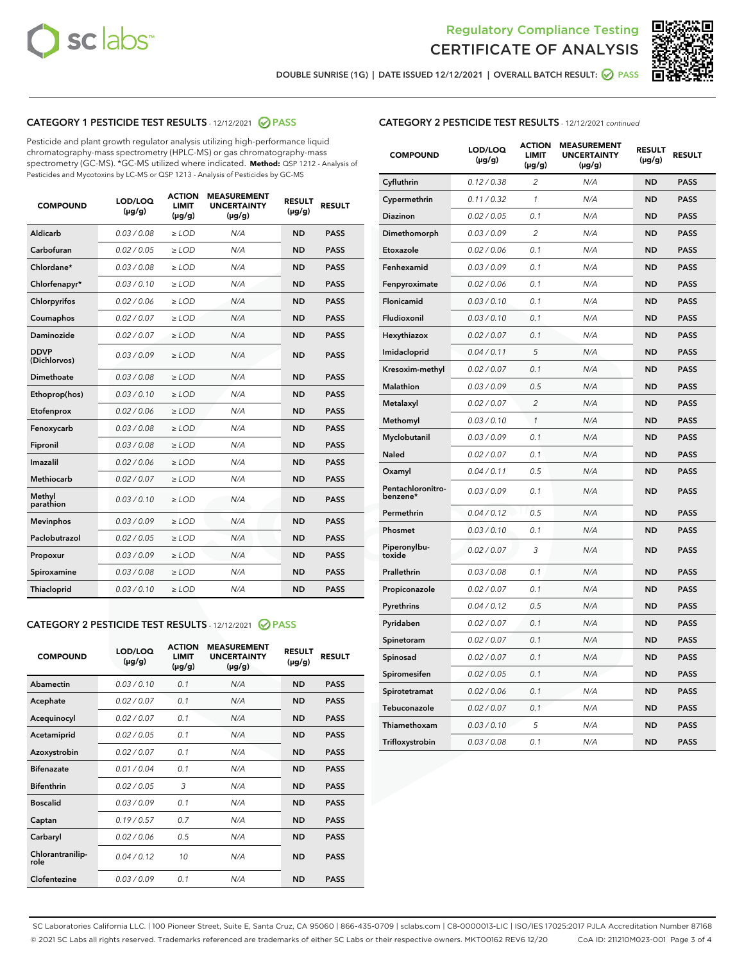



DOUBLE SUNRISE (1G) | DATE ISSUED 12/12/2021 | OVERALL BATCH RESULT: **⊘** PASS

# CATEGORY 1 PESTICIDE TEST RESULTS - 12/12/2021 2 PASS

Pesticide and plant growth regulator analysis utilizing high-performance liquid chromatography-mass spectrometry (HPLC-MS) or gas chromatography-mass spectrometry (GC-MS). \*GC-MS utilized where indicated. **Method:** QSP 1212 - Analysis of Pesticides and Mycotoxins by LC-MS or QSP 1213 - Analysis of Pesticides by GC-MS

| <b>COMPOUND</b>             | LOD/LOQ<br>$(\mu g/g)$ | <b>ACTION</b><br><b>LIMIT</b><br>$(\mu g/g)$ | <b>MEASUREMENT</b><br><b>UNCERTAINTY</b><br>$(\mu g/g)$ | <b>RESULT</b><br>$(\mu g/g)$ | <b>RESULT</b> |
|-----------------------------|------------------------|----------------------------------------------|---------------------------------------------------------|------------------------------|---------------|
| Aldicarb                    | 0.03 / 0.08            | $\ge$ LOD                                    | N/A                                                     | <b>ND</b>                    | <b>PASS</b>   |
| Carbofuran                  | 0.02/0.05              | $\ge$ LOD                                    | N/A                                                     | <b>ND</b>                    | <b>PASS</b>   |
| Chlordane*                  | 0.03 / 0.08            | $\ge$ LOD                                    | N/A                                                     | <b>ND</b>                    | <b>PASS</b>   |
| Chlorfenapyr*               | 0.03/0.10              | $\ge$ LOD                                    | N/A                                                     | <b>ND</b>                    | <b>PASS</b>   |
| Chlorpyrifos                | 0.02 / 0.06            | $\ge$ LOD                                    | N/A                                                     | <b>ND</b>                    | <b>PASS</b>   |
| Coumaphos                   | 0.02 / 0.07            | $>$ LOD                                      | N/A                                                     | <b>ND</b>                    | <b>PASS</b>   |
| Daminozide                  | 0.02 / 0.07            | $\ge$ LOD                                    | N/A                                                     | <b>ND</b>                    | <b>PASS</b>   |
| <b>DDVP</b><br>(Dichlorvos) | 0.03/0.09              | $\ge$ LOD                                    | N/A                                                     | <b>ND</b>                    | <b>PASS</b>   |
| Dimethoate                  | 0.03 / 0.08            | $>$ LOD                                      | N/A                                                     | <b>ND</b>                    | <b>PASS</b>   |
| Ethoprop(hos)               | 0.03/0.10              | $\ge$ LOD                                    | N/A                                                     | <b>ND</b>                    | <b>PASS</b>   |
| Etofenprox                  | 0.02 / 0.06            | $\ge$ LOD                                    | N/A                                                     | <b>ND</b>                    | <b>PASS</b>   |
| Fenoxycarb                  | 0.03 / 0.08            | $>$ LOD                                      | N/A                                                     | <b>ND</b>                    | <b>PASS</b>   |
| Fipronil                    | 0.03/0.08              | $\ge$ LOD                                    | N/A                                                     | <b>ND</b>                    | <b>PASS</b>   |
| Imazalil                    | 0.02 / 0.06            | $>$ LOD                                      | N/A                                                     | <b>ND</b>                    | <b>PASS</b>   |
| Methiocarb                  | 0.02 / 0.07            | $\ge$ LOD                                    | N/A                                                     | <b>ND</b>                    | <b>PASS</b>   |
| Methyl<br>parathion         | 0.03/0.10              | $\ge$ LOD                                    | N/A                                                     | <b>ND</b>                    | <b>PASS</b>   |
| <b>Mevinphos</b>            | 0.03/0.09              | $\ge$ LOD                                    | N/A                                                     | <b>ND</b>                    | <b>PASS</b>   |
| Paclobutrazol               | 0.02 / 0.05            | $\ge$ LOD                                    | N/A                                                     | <b>ND</b>                    | <b>PASS</b>   |
| Propoxur                    | 0.03/0.09              | $\ge$ LOD                                    | N/A                                                     | <b>ND</b>                    | <b>PASS</b>   |
| Spiroxamine                 | 0.03 / 0.08            | $\ge$ LOD                                    | N/A                                                     | <b>ND</b>                    | <b>PASS</b>   |
| Thiacloprid                 | 0.03/0.10              | $\ge$ LOD                                    | N/A                                                     | <b>ND</b>                    | <b>PASS</b>   |

## CATEGORY 2 PESTICIDE TEST RESULTS - 12/12/2021 @ PASS

| <b>COMPOUND</b>          | LOD/LOQ<br>$(\mu g/g)$ | <b>ACTION</b><br><b>LIMIT</b><br>$(\mu g/g)$ | <b>MEASUREMENT</b><br><b>UNCERTAINTY</b><br>$(\mu g/g)$ | <b>RESULT</b><br>$(\mu g/g)$ | <b>RESULT</b> |
|--------------------------|------------------------|----------------------------------------------|---------------------------------------------------------|------------------------------|---------------|
| Abamectin                | 0.03/0.10              | 0.1                                          | N/A                                                     | <b>ND</b>                    | <b>PASS</b>   |
| Acephate                 | 0.02/0.07              | 0.1                                          | N/A                                                     | <b>ND</b>                    | <b>PASS</b>   |
| Acequinocyl              | 0.02/0.07              | 0.1                                          | N/A                                                     | <b>ND</b>                    | <b>PASS</b>   |
| Acetamiprid              | 0.02/0.05              | 0.1                                          | N/A                                                     | <b>ND</b>                    | <b>PASS</b>   |
| Azoxystrobin             | 0.02/0.07              | 0.1                                          | N/A                                                     | <b>ND</b>                    | <b>PASS</b>   |
| <b>Bifenazate</b>        | 0.01/0.04              | 0.1                                          | N/A                                                     | <b>ND</b>                    | <b>PASS</b>   |
| <b>Bifenthrin</b>        | 0.02 / 0.05            | 3                                            | N/A                                                     | <b>ND</b>                    | <b>PASS</b>   |
| <b>Boscalid</b>          | 0.03/0.09              | 0.1                                          | N/A                                                     | <b>ND</b>                    | <b>PASS</b>   |
| Captan                   | 0.19/0.57              | 0.7                                          | N/A                                                     | <b>ND</b>                    | <b>PASS</b>   |
| Carbaryl                 | 0.02/0.06              | 0.5                                          | N/A                                                     | <b>ND</b>                    | <b>PASS</b>   |
| Chlorantranilip-<br>role | 0.04/0.12              | 10                                           | N/A                                                     | <b>ND</b>                    | <b>PASS</b>   |
| Clofentezine             | 0.03/0.09              | 0.1                                          | N/A                                                     | <b>ND</b>                    | <b>PASS</b>   |

| <b>COMPOUND</b>               | LOD/LOQ<br>(µg/g) | <b>ACTION</b><br><b>LIMIT</b><br>(µg/g) | <b>MEASUREMENT</b><br><b>UNCERTAINTY</b><br>$(\mu g/g)$ | <b>RESULT</b><br>(µg/g) | <b>RESULT</b> |
|-------------------------------|-------------------|-----------------------------------------|---------------------------------------------------------|-------------------------|---------------|
| Cyfluthrin                    | 0.12 / 0.38       | $\overline{c}$                          | N/A                                                     | <b>ND</b>               | <b>PASS</b>   |
| Cypermethrin                  | 0.11 / 0.32       | 1                                       | N/A                                                     | <b>ND</b>               | <b>PASS</b>   |
| <b>Diazinon</b>               | 0.02 / 0.05       | 0.1                                     | N/A                                                     | <b>ND</b>               | <b>PASS</b>   |
| Dimethomorph                  | 0.03 / 0.09       | 2                                       | N/A                                                     | <b>ND</b>               | <b>PASS</b>   |
| Etoxazole                     | 0.02 / 0.06       | 0.1                                     | N/A                                                     | <b>ND</b>               | <b>PASS</b>   |
| Fenhexamid                    | 0.03 / 0.09       | 0.1                                     | N/A                                                     | <b>ND</b>               | <b>PASS</b>   |
| Fenpyroximate                 | 0.02 / 0.06       | 0.1                                     | N/A                                                     | <b>ND</b>               | <b>PASS</b>   |
| Flonicamid                    | 0.03 / 0.10       | 0.1                                     | N/A                                                     | <b>ND</b>               | <b>PASS</b>   |
| Fludioxonil                   | 0.03 / 0.10       | 0.1                                     | N/A                                                     | <b>ND</b>               | <b>PASS</b>   |
| Hexythiazox                   | 0.02 / 0.07       | 0.1                                     | N/A                                                     | <b>ND</b>               | <b>PASS</b>   |
| Imidacloprid                  | 0.04 / 0.11       | 5                                       | N/A                                                     | <b>ND</b>               | <b>PASS</b>   |
| Kresoxim-methyl               | 0.02 / 0.07       | 0.1                                     | N/A                                                     | <b>ND</b>               | <b>PASS</b>   |
| Malathion                     | 0.03 / 0.09       | 0.5                                     | N/A                                                     | <b>ND</b>               | <b>PASS</b>   |
| Metalaxyl                     | 0.02 / 0.07       | $\overline{c}$                          | N/A                                                     | <b>ND</b>               | <b>PASS</b>   |
| Methomyl                      | 0.03 / 0.10       | $\mathcal{I}$                           | N/A                                                     | <b>ND</b>               | <b>PASS</b>   |
| Myclobutanil                  | 0.03 / 0.09       | 0.1                                     | N/A                                                     | <b>ND</b>               | <b>PASS</b>   |
| <b>Naled</b>                  | 0.02 / 0.07       | 0.1                                     | N/A                                                     | <b>ND</b>               | <b>PASS</b>   |
| Oxamyl                        | 0.04 / 0.11       | 0.5                                     | N/A                                                     | <b>ND</b>               | <b>PASS</b>   |
| Pentachloronitro-<br>benzene* | 0.03/0.09         | 0.1                                     | N/A                                                     | <b>ND</b>               | <b>PASS</b>   |
| Permethrin                    | 0.04 / 0.12       | 0.5                                     | N/A                                                     | <b>ND</b>               | <b>PASS</b>   |
| Phosmet                       | 0.03 / 0.10       | 0.1                                     | N/A                                                     | <b>ND</b>               | <b>PASS</b>   |
| Piperonylbu-<br>toxide        | 0.02 / 0.07       | 3                                       | N/A                                                     | <b>ND</b>               | <b>PASS</b>   |
| Prallethrin                   | 0.03 / 0.08       | 0.1                                     | N/A                                                     | <b>ND</b>               | <b>PASS</b>   |
| Propiconazole                 | 0.02 / 0.07       | 0.1                                     | N/A                                                     | <b>ND</b>               | <b>PASS</b>   |
| Pyrethrins                    | 0.04 / 0.12       | 0.5                                     | N/A                                                     | <b>ND</b>               | <b>PASS</b>   |
| Pyridaben                     | 0.02 / 0.07       | 0.1                                     | N/A                                                     | <b>ND</b>               | <b>PASS</b>   |
| Spinetoram                    | 0.02 / 0.07       | 0.1                                     | N/A                                                     | <b>ND</b>               | <b>PASS</b>   |
| Spinosad                      | 0.02 / 0.07       | 0.1                                     | N/A                                                     | <b>ND</b>               | <b>PASS</b>   |
| Spiromesifen                  | 0.02 / 0.05       | 0.1                                     | N/A                                                     | <b>ND</b>               | <b>PASS</b>   |
| Spirotetramat                 | 0.02 / 0.06       | 0.1                                     | N/A                                                     | ND                      | <b>PASS</b>   |
| Tebuconazole                  | 0.02 / 0.07       | 0.1                                     | N/A                                                     | <b>ND</b>               | <b>PASS</b>   |
| Thiamethoxam                  | 0.03 / 0.10       | 5                                       | N/A                                                     | <b>ND</b>               | <b>PASS</b>   |
| Trifloxystrobin               | 0.03 / 0.08       | 0.1                                     | N/A                                                     | <b>ND</b>               | <b>PASS</b>   |

SC Laboratories California LLC. | 100 Pioneer Street, Suite E, Santa Cruz, CA 95060 | 866-435-0709 | sclabs.com | C8-0000013-LIC | ISO/IES 17025:2017 PJLA Accreditation Number 87168 © 2021 SC Labs all rights reserved. Trademarks referenced are trademarks of either SC Labs or their respective owners. MKT00162 REV6 12/20 CoA ID: 211210M023-001 Page 3 of 4